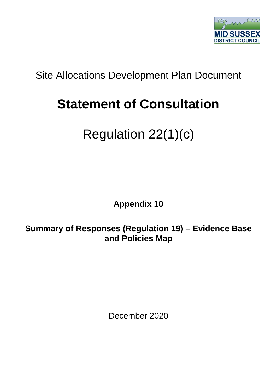

## Site Allocations Development Plan Document

## **Statement of Consultation**

## Regulation 22(1)(c)

**Appendix 10**

**Summary of Responses (Regulation 19) – Evidence Base and Policies Map**

December 2020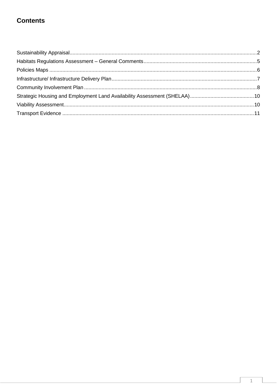## **Contents**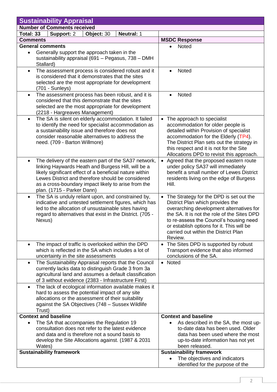<span id="page-2-0"></span>

|                                                                                                        | <b>Sustainability Appraisal</b>                                                                              |            |                   |                           |                                                                                       |
|--------------------------------------------------------------------------------------------------------|--------------------------------------------------------------------------------------------------------------|------------|-------------------|---------------------------|---------------------------------------------------------------------------------------|
|                                                                                                        | <b>Number of Comments received</b>                                                                           |            |                   |                           |                                                                                       |
| Total: 33                                                                                              | Support: 2                                                                                                   | Object: 30 | <b>Neutral: 1</b> |                           |                                                                                       |
| <b>Comments</b>                                                                                        |                                                                                                              |            |                   | <b>MSDC Response</b>      |                                                                                       |
|                                                                                                        | <b>General comments</b>                                                                                      |            |                   | <b>Noted</b>              |                                                                                       |
| $\bullet$                                                                                              | Generally support the approach taken in the<br>sustainability appraisal (691 - Pegasus, 738 - DMH            |            |                   |                           |                                                                                       |
|                                                                                                        | Stallard)                                                                                                    |            |                   |                           |                                                                                       |
| $\bullet$                                                                                              | The assessment process is considered robust and it                                                           |            |                   | <b>Noted</b><br>$\bullet$ |                                                                                       |
|                                                                                                        | is considered that it demonstrates that the sites                                                            |            |                   |                           |                                                                                       |
|                                                                                                        | selected are the most appropriate for development                                                            |            |                   |                           |                                                                                       |
|                                                                                                        | $(701 - Sunleys)$                                                                                            |            |                   |                           |                                                                                       |
| $\bullet$                                                                                              | The assessment process has been robust, and it is                                                            |            |                   |                           | Noted<br>$\bullet$                                                                    |
|                                                                                                        | considered that this demonstrate that the sites<br>selected are the most appropriate for development         |            |                   |                           |                                                                                       |
|                                                                                                        | (2218 - Hargreaves Management)                                                                               |            |                   |                           |                                                                                       |
| $\bullet$                                                                                              | The SA is silent on elderly accommodation. It failed                                                         |            |                   |                           | The approach to specialist                                                            |
|                                                                                                        | to identify the need for specialist accommodation as                                                         |            |                   |                           | accommodation for older people is                                                     |
|                                                                                                        | a sustainability issue and therefore does not                                                                |            |                   |                           | detailed within Provision of specialist                                               |
|                                                                                                        | consider reasonable alternatives to address the                                                              |            |                   |                           | accommodation for the Elderly (TP4).                                                  |
|                                                                                                        | need. (709 - Barton Willmore)                                                                                |            |                   |                           | The District Plan sets out the strategy in<br>this respect and it is not for the Site |
|                                                                                                        |                                                                                                              |            |                   |                           | Allocations DPD to revisit this approach.                                             |
| $\bullet$                                                                                              | The delivery of the eastern part of the SA37 network,                                                        |            |                   |                           | • Agreed that the proposed eastern route                                              |
|                                                                                                        | linking Haywards Heath and Burgess Hill, will be a                                                           |            |                   |                           | under policy SA37 will immediately                                                    |
|                                                                                                        | likely significant effect of a beneficial nature within                                                      |            |                   |                           | benefit a small number of Lewes District                                              |
|                                                                                                        | Lewes District and therefore should be considered                                                            |            |                   |                           | residents living on the edge of Burgess                                               |
|                                                                                                        | as a cross-boundary impact likely to arise from the<br>plan. (1715 - Parker Dann)                            |            |                   |                           | Hill.                                                                                 |
| $\bullet$                                                                                              | The SA is unduly reliant upon, and constrained by,                                                           |            |                   |                           | • The Strategy for the DPD is set out the                                             |
|                                                                                                        | indicative and untested settlement figures, which has                                                        |            |                   |                           | District Plan which provides the                                                      |
|                                                                                                        | led to the allocation of unsustainable sites having                                                          |            |                   |                           | overarching development alternatives for                                              |
|                                                                                                        | regard to alternatives that exist in the District. (705 -                                                    |            |                   |                           | the SA. It is not the role of the Sites DPD                                           |
|                                                                                                        | Nexus)                                                                                                       |            |                   |                           | to re-assess the Council's housing need<br>or establish options for it. This will be  |
|                                                                                                        |                                                                                                              |            |                   |                           | carried out within the District Plan                                                  |
|                                                                                                        |                                                                                                              |            |                   |                           | Review.                                                                               |
| $\bullet$                                                                                              | The impact of traffic is overlooked within the DPD                                                           |            |                   |                           | • The Sites DPD is supported by robust                                                |
|                                                                                                        | which is reflected in the SA which includes a lot of                                                         |            |                   |                           | Transport evidence that also informed                                                 |
|                                                                                                        | uncertainty in the site assessments                                                                          |            |                   |                           | conclusions of the SA.<br>• Noted                                                     |
| $\bullet$                                                                                              | The Sustainability Appraisal reports that the Council<br>currently lacks data to distinguish Grade 3 from 3a |            |                   |                           |                                                                                       |
|                                                                                                        | agricultural land and assumes a default classification                                                       |            |                   |                           |                                                                                       |
|                                                                                                        | of 3 without evidence (2383 - Infrastructure First)                                                          |            |                   |                           |                                                                                       |
| $\bullet$                                                                                              | The lack of ecological information available makes it                                                        |            |                   |                           |                                                                                       |
|                                                                                                        | hard to assess the potential impact of any site                                                              |            |                   |                           |                                                                                       |
| allocations or the assessment of their suitability<br>against the SA Objectives (748 - Sussex Wildlife |                                                                                                              |            |                   |                           |                                                                                       |
|                                                                                                        | Trust)                                                                                                       |            |                   |                           |                                                                                       |
|                                                                                                        | <b>Context and baseline</b>                                                                                  |            |                   |                           | <b>Context and baseline</b>                                                           |
|                                                                                                        | The SA that accompanies the Regulation 19                                                                    |            |                   |                           | As described in the SA, the most up-                                                  |
|                                                                                                        | consultation does not refer to the latest evidence                                                           |            |                   |                           | to-date data has been used. Older                                                     |
|                                                                                                        | and data and is therefore not a sound basis to                                                               |            |                   |                           | data has been used where the most                                                     |
|                                                                                                        | develop the Site Allocations against. (1987 & 2031)<br>Wates)                                                |            |                   |                           | up-to-date information has not yet<br>been released.                                  |
|                                                                                                        | <b>Sustainability framework</b>                                                                              |            |                   |                           | <b>Sustainability framework</b>                                                       |
|                                                                                                        |                                                                                                              |            |                   |                           | The objectives and indicators<br>$\bullet$                                            |
|                                                                                                        |                                                                                                              |            |                   |                           | identified for the purpose of the                                                     |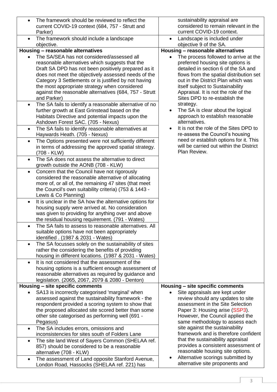| The framework should be reviewed to reflect the<br>$\bullet$<br>current COVID-19 context (684, 757 - Strutt and                                                                                                                                                                                                                                                                             | sustainability appraisal are<br>considered to remain relevant in the                                                                                                                                                                                                                        |
|---------------------------------------------------------------------------------------------------------------------------------------------------------------------------------------------------------------------------------------------------------------------------------------------------------------------------------------------------------------------------------------------|---------------------------------------------------------------------------------------------------------------------------------------------------------------------------------------------------------------------------------------------------------------------------------------------|
| Parker)                                                                                                                                                                                                                                                                                                                                                                                     | current COVID-19 context.                                                                                                                                                                                                                                                                   |
| The framework should include a landscape<br>$\bullet$<br>objective.                                                                                                                                                                                                                                                                                                                         | Landscape is included under<br>$\bullet$<br>objective 9 of the SA.                                                                                                                                                                                                                          |
| Housing - reasonable alternatives                                                                                                                                                                                                                                                                                                                                                           | Housing - reasonable alternatives                                                                                                                                                                                                                                                           |
| The SA/SEA has not considered/assessed all<br>$\bullet$<br>reasonable alternatives which suggests that the<br>Draft SA DPD has not been positively prepared as it<br>does not meet the objectively assessed needs of the<br>Category 3 Settlements or is justified by not having<br>the most appropriate strategy when considered<br>against the reasonable alternatives (684, 757 - Strutt | The process followed to arrive at the<br>$\bullet$<br>preferred housing site options is<br>detailed in section 6 of the SA and<br>flows from the spatial distribution set<br>out in the District Plan which was<br>itself subject to Sustainability<br>Appraisal. It is not the role of the |
| and Parker)                                                                                                                                                                                                                                                                                                                                                                                 | Sites DPD to re-establish the                                                                                                                                                                                                                                                               |
| The SA fails to identify a reasonable alternative of no<br>$\bullet$<br>further growth at East Grinstead based on the<br>Habitats Directive and potential impacts upon the<br>Ashdown Forest SAC. (705 - Nexus)                                                                                                                                                                             | strategy.<br>The SA is clear about the logical<br>$\bullet$<br>approach to establish reasonable<br>alternatives.                                                                                                                                                                            |
| The SA fails to identify reasonable alternatives at<br>$\bullet$<br>Haywards Heath. (705 - Nexus)                                                                                                                                                                                                                                                                                           | It is not the role of the Sites DPD to<br>$\bullet$<br>re-assess the Council's housing                                                                                                                                                                                                      |
| The Options presented were not sufficiently different<br>$\bullet$<br>in terms of addressing the approved spatial strategy.<br>(708 - KLW)                                                                                                                                                                                                                                                  | need or establish options for it. This<br>will be carried out within the District<br>Plan Review.                                                                                                                                                                                           |
| The SA does not assess the alternative to direct<br>$\bullet$<br>growth outside the AONB (708 - KLW)                                                                                                                                                                                                                                                                                        |                                                                                                                                                                                                                                                                                             |
| Concern that the Council have not rigorously<br>$\bullet$<br>considered the reasonable alternative of allocating<br>more of, or all of, the remaining 47 sites (that meet<br>the Council's own suitability criteria) (753 & 1443 -<br>Lewis & Co Planning)                                                                                                                                  |                                                                                                                                                                                                                                                                                             |
| It is unclear in the SA how the alternative options for<br>$\bullet$<br>housing supply were arrived at. No consideration<br>was given to providing for anything over and above<br>the residual housing requirement. (791 - Wates)                                                                                                                                                           |                                                                                                                                                                                                                                                                                             |
| The SA fails to assess to reasonable alternatives. All<br>suitable options have not been appropriately<br>identified . (1987 & 2031 - Wates)                                                                                                                                                                                                                                                |                                                                                                                                                                                                                                                                                             |
| The SA focusses solely on the sustainability of sites<br>$\bullet$<br>rather the considering the benefits of providing<br>housing in different locations. (1987 & 2031 - Wates)                                                                                                                                                                                                             |                                                                                                                                                                                                                                                                                             |
| It is not considered that the assessment of the<br>$\bullet$<br>housing options is a sufficient enough assessment of<br>reasonable alternatives as required by guidance and<br>legislation. (2065, 2067, 2079 & 2080 - Denton)                                                                                                                                                              |                                                                                                                                                                                                                                                                                             |
| Housing - site specific comments                                                                                                                                                                                                                                                                                                                                                            | Housing - site specific comments                                                                                                                                                                                                                                                            |
| SA13 is incorrectly categorised 'marginal' when<br>$\bullet$<br>assessed against the sustainability framework - the<br>respondent provided a scoring system to show that                                                                                                                                                                                                                    | Site appraisals are kept under<br>review should any updates to site<br>assessment in the Site Selection                                                                                                                                                                                     |
| the proposed allocated site scored better than some<br>other site categorised as performing well (691 -<br>Pegasus)                                                                                                                                                                                                                                                                         | Paper 3: Housing arise (SSP3).<br>However, the Council applied the<br>same methodology to assess each                                                                                                                                                                                       |
| The SA includes errors, omissions and<br>$\bullet$                                                                                                                                                                                                                                                                                                                                          | site against the sustainability<br>framework and is therefore confident                                                                                                                                                                                                                     |
| inconsistencies for sites south of Folders Lane                                                                                                                                                                                                                                                                                                                                             | that the sustainability appraisal                                                                                                                                                                                                                                                           |
| The site land West of Sayers Common (SHELAA ref.<br>$\bullet$<br>857) should be considered to be a reasonable<br>alternative (708 - KLW)                                                                                                                                                                                                                                                    | provides a consistent assessment of<br>reasonable housing site options.                                                                                                                                                                                                                     |
| The assessment of Land opposite Stanford Avenue,<br>$\bullet$<br>London Road, Hassocks (SHELAA ref. 221) has                                                                                                                                                                                                                                                                                | Alternative scorings submitted by<br>٠<br>alternative site proponents and                                                                                                                                                                                                                   |

3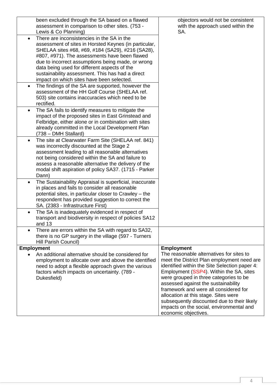| been excluded through the SA based on a flawed<br>assessment in comparison to other sites. (753 -<br>Lewis & Co Planning)<br>There are inconsistencies in the SA in the<br>$\bullet$<br>assessment of sites in Horsted Keynes (in particular,<br>SHELAA sites #68, #69, #184 (SA29), #216 (SA28),<br>#807, #971). The assessments have been flawed<br>due to incorrect assumptions being made, or wrong | objectors would not be consistent<br>with the approach used within the<br>SA.                                                                                                                                                                                                                                                                                                                                                                                                                |
|---------------------------------------------------------------------------------------------------------------------------------------------------------------------------------------------------------------------------------------------------------------------------------------------------------------------------------------------------------------------------------------------------------|----------------------------------------------------------------------------------------------------------------------------------------------------------------------------------------------------------------------------------------------------------------------------------------------------------------------------------------------------------------------------------------------------------------------------------------------------------------------------------------------|
| data being used for different aspects of the<br>sustainability assessment. This has had a direct<br>impact on which sites have been selected.<br>The findings of the SA are supported, however the<br>$\bullet$<br>assessment of the HH Golf Course (SHELAA ref.<br>503) site contains inaccuracies which need to be                                                                                    |                                                                                                                                                                                                                                                                                                                                                                                                                                                                                              |
| rectified.<br>The SA fails to identify measures to mitigate the<br>$\bullet$<br>impact of the proposed sites in East Grinstead and<br>Felbridge, either alone or in combination with sites<br>already committed in the Local Development Plan<br>(738 – DMH Stallard)                                                                                                                                   |                                                                                                                                                                                                                                                                                                                                                                                                                                                                                              |
| The site at Clearwater Farm Site (SHELAA ref. 841)<br>$\bullet$<br>was incorrectly discounted at the Stage 2<br>assessment leading to all reasonable alternatives<br>not being considered within the SA and failure to<br>assess a reasonable alternative the delivery of the<br>modal shift aspiration of policy SA37. (1715 - Parker<br>Dann)                                                         |                                                                                                                                                                                                                                                                                                                                                                                                                                                                                              |
| The Sustainability Appraisal is superficial, inaccurate<br>$\bullet$<br>in places and fails to consider all reasonable<br>potential sites, in particular closer to Crawley - the<br>respondent has provided suggestion to correct the<br>SA. (2383 - Infrastructure First)<br>The SA is inadequately evidenced in respect of                                                                            |                                                                                                                                                                                                                                                                                                                                                                                                                                                                                              |
| transport and biodiversity in respect of policies SA12<br>and $13$<br>There are errors within the SA with regard to SA32,<br>there is no GP surgery in the village (597 - Turners                                                                                                                                                                                                                       |                                                                                                                                                                                                                                                                                                                                                                                                                                                                                              |
| Hill Parish Council)                                                                                                                                                                                                                                                                                                                                                                                    |                                                                                                                                                                                                                                                                                                                                                                                                                                                                                              |
| <b>Employment</b><br>An additional alternative should be considered for<br>employment to allocate over and above the identified<br>need to adopt a flexible approach given the various<br>factors which impacts on uncertainty. (789 -<br>Dukesfield)                                                                                                                                                   | <b>Employment</b><br>The reasonable alternatives for sites to<br>meet the District Plan employment need are<br>identified within the Site Selection paper 4:<br>Employment (SSP4). Within the SA, sites<br>were grouped in three categories to be<br>assessed against the sustainability<br>framework and were all considered for<br>allocation at this stage. Sites were<br>subsequently discounted due to their likely<br>impacts on the social, environmental and<br>economic objectives. |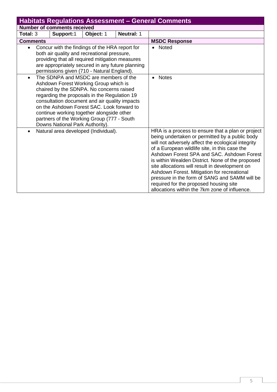<span id="page-5-0"></span>

|                                                                                                                                                                                                                                                                                                                                                                                   | <b>Habitats Regulations Assessment - General Comments</b>                                                                                                                                                                                          |           |                                                                                                                                                                                                                                                                                                                                                                                                                                                                                                                                                           |                      |  |  |  |
|-----------------------------------------------------------------------------------------------------------------------------------------------------------------------------------------------------------------------------------------------------------------------------------------------------------------------------------------------------------------------------------|----------------------------------------------------------------------------------------------------------------------------------------------------------------------------------------------------------------------------------------------------|-----------|-----------------------------------------------------------------------------------------------------------------------------------------------------------------------------------------------------------------------------------------------------------------------------------------------------------------------------------------------------------------------------------------------------------------------------------------------------------------------------------------------------------------------------------------------------------|----------------------|--|--|--|
|                                                                                                                                                                                                                                                                                                                                                                                   | <b>Number of comments received</b>                                                                                                                                                                                                                 |           |                                                                                                                                                                                                                                                                                                                                                                                                                                                                                                                                                           |                      |  |  |  |
| Total: 3                                                                                                                                                                                                                                                                                                                                                                          | Support:1                                                                                                                                                                                                                                          | Object: 1 |                                                                                                                                                                                                                                                                                                                                                                                                                                                                                                                                                           |                      |  |  |  |
| <b>Comments</b>                                                                                                                                                                                                                                                                                                                                                                   |                                                                                                                                                                                                                                                    |           |                                                                                                                                                                                                                                                                                                                                                                                                                                                                                                                                                           | <b>MSDC Response</b> |  |  |  |
| $\bullet$                                                                                                                                                                                                                                                                                                                                                                         | Concur with the findings of the HRA report for<br>both air quality and recreational pressure,<br>providing that all required mitigation measures<br>are appropriately secured in any future planning<br>permissions given (710 - Natural England). |           | • Noted                                                                                                                                                                                                                                                                                                                                                                                                                                                                                                                                                   |                      |  |  |  |
| The SDNPA and MSDC are members of the<br>$\bullet$<br>Ashdown Forest Working Group which is<br>chaired by the SDNPA. No concerns raised<br>regarding the proposals in the Regulation 19<br>consultation document and air quality impacts<br>on the Ashdown Forest SAC. Look forward to<br>continue working together alongside other<br>partners of the Working Group (777 - South |                                                                                                                                                                                                                                                    |           | <b>Notes</b>                                                                                                                                                                                                                                                                                                                                                                                                                                                                                                                                              |                      |  |  |  |
| Downs National Park Authority).<br>Natural area developed (Individual).<br>$\bullet$                                                                                                                                                                                                                                                                                              |                                                                                                                                                                                                                                                    |           | HRA is a process to ensure that a plan or project<br>being undertaken or permitted by a public body<br>will not adversely affect the ecological integrity<br>of a European wildlife site, in this case the<br>Ashdown Forest SPA and SAC. Ashdown Forest<br>is within Wealden District. None of the proposed<br>site allocations will result in development on<br>Ashdown Forest. Mitigation for recreational<br>pressure in the form of SANG and SAMM will be<br>required for the proposed housing site<br>allocations within the 7km zone of influence. |                      |  |  |  |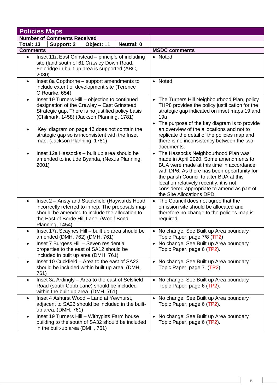<span id="page-6-0"></span>

| <b>Policies Maps</b>                                                                                                                                                                                                               |                                                                                                                                                                                                                                                                                                                                                        |
|------------------------------------------------------------------------------------------------------------------------------------------------------------------------------------------------------------------------------------|--------------------------------------------------------------------------------------------------------------------------------------------------------------------------------------------------------------------------------------------------------------------------------------------------------------------------------------------------------|
| <b>Number of Comments Received</b>                                                                                                                                                                                                 |                                                                                                                                                                                                                                                                                                                                                        |
| <b>Neutral: 0</b><br>Total: 13<br>Support: 2<br>Object: 11                                                                                                                                                                         |                                                                                                                                                                                                                                                                                                                                                        |
| <b>Comments</b>                                                                                                                                                                                                                    | <b>MSDC comments</b>                                                                                                                                                                                                                                                                                                                                   |
| Inset 11a East Grinstead – principle of including<br>$\bullet$<br>site (land south of 61 Crawley Down Road,<br>Felbridge in built up area is supported (ABC,<br>2080)                                                              | • Noted                                                                                                                                                                                                                                                                                                                                                |
| Inset 8a Copthorne - support amendments to<br>$\bullet$<br>include extent of development site (Terence<br>O'Rourke, 654)                                                                                                           | • Noted                                                                                                                                                                                                                                                                                                                                                |
| Inset 19 Turners Hill - objection to continued<br>$\bullet$<br>designation of the Crawley - East Grinstead<br>Strategic gap. There is no justified policy basis<br>(Chilmark, 1458) (Jackson Planning, 1781)                       | • The Turners Hill Neighbourhood Plan, policy<br>THP8 provides the policy justification for the<br>strategic gap indicated on inset maps 19 and<br>19a                                                                                                                                                                                                 |
| 'Key' diagram on page 13 does not contain the<br>strategic gap so is inconsistent with the Inset<br>map. (Jackson Planning, 1781)                                                                                                  | The purpose of the key diagram is to provide<br>$\bullet$<br>an overview of the allocations and not to<br>replicate the detail of the policies map and<br>there is no inconsistency between the two<br>documents.                                                                                                                                      |
| Inset 12a Hassocks - built up area should be<br>$\bullet$<br>amended to include Byanda, (Nexus Planning,<br>2001)                                                                                                                  | The Hassocks Neighbourhood Plan was<br>$\bullet$<br>made in April 2020. Some amendments to<br>BUA were made at this time in accordance<br>with DP6. As there has been opportunity for<br>the parish Council to alter BUA at this<br>location relatively recently, it is not<br>considered appropriate to amend as part of<br>the Site Allocations DPD. |
| Inset 2 – Ansty and Staplefield (Haywards Heath<br>$\bullet$<br>incorrectly referred to in rep. The proposals map<br>should be amended to include the allocation to<br>the East of Borde Hill Lane. (Woolf Bond<br>Planning, 1454) | The Council does not agree that the<br>omission site should be allocated and<br>therefore no change to the policies map is<br>required.                                                                                                                                                                                                                |
| Inset 17a Scaynes Hill - built up area should be<br>$\bullet$<br>amended (DMH, 762) (DMH, 761)                                                                                                                                     | • No change. See Built up Area boundary<br>Topic Paper, page 7/8 (TP2)                                                                                                                                                                                                                                                                                 |
| Inset 7 Burgess Hill - Seven residential<br>$\bullet$<br>properties to the east of SA12 should be<br>included in built up area (DMH, 761)                                                                                          | • No change. See Built up Area boundary<br>Topic Paper, page 6 (TP2).                                                                                                                                                                                                                                                                                  |
| Inset 10 Cuckfield - Area to the east of SA23<br>$\bullet$<br>should be included within built up area. (DMH,<br>761)                                                                                                               | • No change. See Built up Area boundary<br>Topic Paper, page 7. (TP2)                                                                                                                                                                                                                                                                                  |
| Inset 3a Ardingly - Area to the east of Selsfield<br>$\bullet$<br>Road (south Cobb Lane) should be included<br>within the built-up area. (DMH, 761)                                                                                | • No change. See Built up Area boundary<br>Topic Paper, page 6 (TP2).                                                                                                                                                                                                                                                                                  |
| Inset 4 Ashurst Wood - Land at Yewhurst,<br>$\bullet$<br>adjacent to SA26 should be included in the built-<br>up area. (DMH, 761)                                                                                                  | No change. See Built up Area boundary<br>Topic Paper, page 6 (TP2).                                                                                                                                                                                                                                                                                    |
| Inset 19 Turners Hill - Withypitts Farm house<br>$\bullet$<br>building to the south of SA32 should be included<br>in the built-up area (DMH, 761)                                                                                  | • No change. See Built up Area boundary<br>Topic Paper, page 6 (TP2).                                                                                                                                                                                                                                                                                  |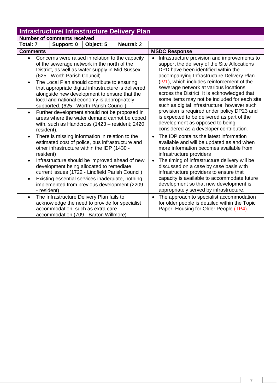<span id="page-7-0"></span>

|                                                                                                                                                                                                                                                                                           |                                    | <b>Infrastructure/Infrastructure Delivery Plan</b>                                                                                                                                                                                                                                                                                                                                                                                                                                                                                                       |                                                                                                                                                                                                                                                                                                                                                                                                                                                                                                                                                                                                                 |                                                                                                                                                                                                                                                                        |
|-------------------------------------------------------------------------------------------------------------------------------------------------------------------------------------------------------------------------------------------------------------------------------------------|------------------------------------|----------------------------------------------------------------------------------------------------------------------------------------------------------------------------------------------------------------------------------------------------------------------------------------------------------------------------------------------------------------------------------------------------------------------------------------------------------------------------------------------------------------------------------------------------------|-----------------------------------------------------------------------------------------------------------------------------------------------------------------------------------------------------------------------------------------------------------------------------------------------------------------------------------------------------------------------------------------------------------------------------------------------------------------------------------------------------------------------------------------------------------------------------------------------------------------|------------------------------------------------------------------------------------------------------------------------------------------------------------------------------------------------------------------------------------------------------------------------|
|                                                                                                                                                                                                                                                                                           | <b>Number of comments received</b> |                                                                                                                                                                                                                                                                                                                                                                                                                                                                                                                                                          |                                                                                                                                                                                                                                                                                                                                                                                                                                                                                                                                                                                                                 |                                                                                                                                                                                                                                                                        |
| Total: 7                                                                                                                                                                                                                                                                                  | Support: 0                         | Object: 5                                                                                                                                                                                                                                                                                                                                                                                                                                                                                                                                                |                                                                                                                                                                                                                                                                                                                                                                                                                                                                                                                                                                                                                 |                                                                                                                                                                                                                                                                        |
| <b>Comments</b>                                                                                                                                                                                                                                                                           |                                    |                                                                                                                                                                                                                                                                                                                                                                                                                                                                                                                                                          |                                                                                                                                                                                                                                                                                                                                                                                                                                                                                                                                                                                                                 | <b>MSDC Response</b>                                                                                                                                                                                                                                                   |
| $\bullet$<br>$\bullet$<br>$\bullet$<br>resident).                                                                                                                                                                                                                                         | (625 - Worth Parish Council)       | Concerns were raised in relation to the capacity<br>of the sewerage network in the north of the<br>District, as well as water supply in Mid Sussex.<br>The Local Plan should contribute to ensuring<br>that appropriate digital infrastructure is delivered<br>alongside new development to ensure that the<br>local and national economy is appropriately<br>supported. (625 - Worth Parish Council)<br>Further development should not be proposed in<br>areas where the water demand cannot be coped<br>with, such as Handcross (1423 - resident; 2420 | Infrastructure provision and improvements to<br>$\bullet$<br>support the delivery of the Site Allocations<br>DPD have been identified within the<br>accompanying Infrastructure Delivery Plan<br>(IV1), which includes reinforcement of the<br>sewerage network at various locations<br>across the District. It is acknowledged that<br>some items may not be included for each site<br>such as digital infrastructure, however such<br>provision is required under policy DP23 and<br>is expected to be delivered as part of the<br>development as opposed to being<br>considered as a developer contribution. |                                                                                                                                                                                                                                                                        |
| There is missing information in relation to the<br>$\bullet$<br>estimated cost of police, bus infrastructure and<br>other infrastructure within the IDP (1430 -<br>resident)                                                                                                              |                                    |                                                                                                                                                                                                                                                                                                                                                                                                                                                                                                                                                          |                                                                                                                                                                                                                                                                                                                                                                                                                                                                                                                                                                                                                 | The IDP contains the latest information<br>available and will be updated as and when<br>more information becomes available from<br>infrastructure providers                                                                                                            |
| Infrastructure should be improved ahead of new<br>$\bullet$<br>development being allocated to remediate<br>current issues (1722 - Lindfield Parish Council)<br>Existing essential services inadequate, nothing<br>$\bullet$<br>implemented from previous development (2209<br>- resident) |                                    |                                                                                                                                                                                                                                                                                                                                                                                                                                                                                                                                                          |                                                                                                                                                                                                                                                                                                                                                                                                                                                                                                                                                                                                                 | The timing of infrastructure delivery will be<br>discussed on a case by case basis with<br>infrastructure providers to ensure that<br>capacity is available to accommodate future<br>development so that new development is<br>appropriately served by infrastructure. |
| $\bullet$                                                                                                                                                                                                                                                                                 |                                    | The Infrastructure Delivery Plan fails to<br>acknowledge the need to provide for specialist<br>accommodation, such as extra care<br>accommodation (709 - Barton Willmore)                                                                                                                                                                                                                                                                                                                                                                                |                                                                                                                                                                                                                                                                                                                                                                                                                                                                                                                                                                                                                 | The approach to specialist accommodation<br>for older people is detailed within the Topic<br>Paper: Housing for Older People (TP4).                                                                                                                                    |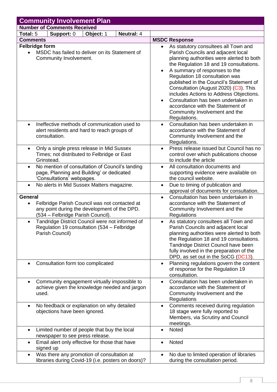<span id="page-8-0"></span>

| <b>Community Involvement Plan</b>                                                                                                                                 |                                                                                                              |           |                   |                                                                                                                          |                                                                                                                                                                                                                                                                                                                                                                                                                                                                                                  |  |  |
|-------------------------------------------------------------------------------------------------------------------------------------------------------------------|--------------------------------------------------------------------------------------------------------------|-----------|-------------------|--------------------------------------------------------------------------------------------------------------------------|--------------------------------------------------------------------------------------------------------------------------------------------------------------------------------------------------------------------------------------------------------------------------------------------------------------------------------------------------------------------------------------------------------------------------------------------------------------------------------------------------|--|--|
|                                                                                                                                                                   | <b>Number of Comments Received</b>                                                                           |           |                   |                                                                                                                          |                                                                                                                                                                                                                                                                                                                                                                                                                                                                                                  |  |  |
| Total: 5                                                                                                                                                          | Support: 0                                                                                                   | Object: 1 | <b>Neutral: 4</b> |                                                                                                                          |                                                                                                                                                                                                                                                                                                                                                                                                                                                                                                  |  |  |
| <b>Comments</b>                                                                                                                                                   |                                                                                                              |           |                   |                                                                                                                          | <b>MSDC Response</b>                                                                                                                                                                                                                                                                                                                                                                                                                                                                             |  |  |
| <b>Felbridge form</b><br>MSDC has failed to deliver on its Statement of<br>Community Involvement.                                                                 |                                                                                                              |           |                   |                                                                                                                          | As statutory consultees all Town and<br>Parish Councils and adjacent local<br>planning authorities were alerted to both<br>the Regulation 18 and 19 consultations.<br>A summary of responses to the<br>Regulation 18 consultation was<br>published in the Council's Statement of<br>Consultation (August 2020) (C3). This<br>includes Actions to Address Objections.<br>Consultation has been undertaken in<br>accordance with the Statement of<br>Community Involvement and the<br>Regulations. |  |  |
| $\bullet$                                                                                                                                                         | Ineffective methods of communication used to<br>alert residents and hard to reach groups of<br>consultation. |           |                   |                                                                                                                          | Consultation has been undertaken in<br>accordance with the Statement of<br>Community Involvement and the<br>Regulations.                                                                                                                                                                                                                                                                                                                                                                         |  |  |
| $\bullet$                                                                                                                                                         | Only a single press release in Mid Sussex<br>Times; not distributed to Felbridge or East<br>Grinstead.       |           |                   | $\bullet$                                                                                                                | Press release issued but Council has no<br>control over which publications choose<br>to include the article                                                                                                                                                                                                                                                                                                                                                                                      |  |  |
| No mention of consultation of Council's landing<br>$\bullet$<br>page, Planning and Building' or dedicated<br>'Consultations' webpages.                            |                                                                                                              |           | $\bullet$         | All consultation documents and<br>supporting evidence were available on<br>the council website.                          |                                                                                                                                                                                                                                                                                                                                                                                                                                                                                                  |  |  |
| $\bullet$                                                                                                                                                         | No alerts in Mid Sussex Matters magazine.                                                                    |           |                   | $\bullet$                                                                                                                | Due to timing of publication and<br>approval of documents for consultation.                                                                                                                                                                                                                                                                                                                                                                                                                      |  |  |
| <b>General</b><br>Felbridge Parish Council was not contacted at<br>$\bullet$<br>any point during the development of the DPD.<br>(534 - Felbridge Parish Council). |                                                                                                              |           |                   | $\bullet$                                                                                                                | Consultation has been undertaken in<br>accordance with the Statement of<br>Community Involvement and the<br>Regulations                                                                                                                                                                                                                                                                                                                                                                          |  |  |
| Tandridge District Council were not informed of<br>$\bullet$<br>Regulation 19 consultation (534 – Felbridge<br>Parish Council)                                    |                                                                                                              |           |                   | $\bullet$                                                                                                                | As statutory consultees all Town and<br>Parish Councils and adjacent local<br>planning authorities were alerted to both<br>the Regulation 18 and 19 consultations.<br>Tandridge District Council have been<br>fully involved in the preparation of the<br>DPD, as set out in the SoCG (DC13).                                                                                                                                                                                                    |  |  |
|                                                                                                                                                                   | Consultation form too complicated                                                                            |           |                   | $\bullet$                                                                                                                | Planning regulations govern the content<br>of response for the Regulation 19<br>consultation.                                                                                                                                                                                                                                                                                                                                                                                                    |  |  |
| Community engagement virtually impossible to<br>$\bullet$<br>achieve given the knowledge needed and jargon<br>used.                                               |                                                                                                              |           | $\bullet$         | Consultation has been undertaken in<br>accordance with the Statement of<br>Community Involvement and the<br>Regulations  |                                                                                                                                                                                                                                                                                                                                                                                                                                                                                                  |  |  |
| No feedback or explanation on why detailed<br>$\bullet$<br>objections have been ignored.                                                                          |                                                                                                              |           | $\bullet$         | Comments received during regulation<br>18 stage were fully reported to<br>Members, via Scrutiny and Council<br>meetings. |                                                                                                                                                                                                                                                                                                                                                                                                                                                                                                  |  |  |
| $\bullet$                                                                                                                                                         | Limited number of people that buy the local<br>newspaper to see press release.                               |           |                   |                                                                                                                          | Noted                                                                                                                                                                                                                                                                                                                                                                                                                                                                                            |  |  |
| $\bullet$                                                                                                                                                         | Email alert only effective for those that have<br>signed up                                                  |           |                   |                                                                                                                          | Noted                                                                                                                                                                                                                                                                                                                                                                                                                                                                                            |  |  |
| $\bullet$                                                                                                                                                         | Was there any promotion of consultation at<br>libraries during Covid-19 (i.e. posters on doors)?             |           |                   |                                                                                                                          | No due to limited operation of libraries<br>during the consultation period.                                                                                                                                                                                                                                                                                                                                                                                                                      |  |  |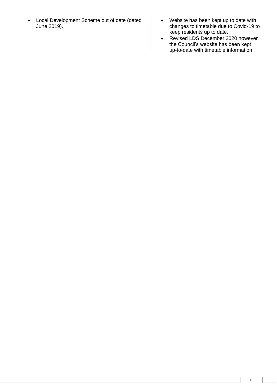| Local Development Scheme out of date (dated<br>June 2019). | Website has been kept up to date with<br>changes to timetable due to Covid-19 to<br>keep residents up to date.<br>• Revised LDS December 2020 however<br>the Council's website has been kept<br>up-to-date with timetable information |
|------------------------------------------------------------|---------------------------------------------------------------------------------------------------------------------------------------------------------------------------------------------------------------------------------------|
|                                                            |                                                                                                                                                                                                                                       |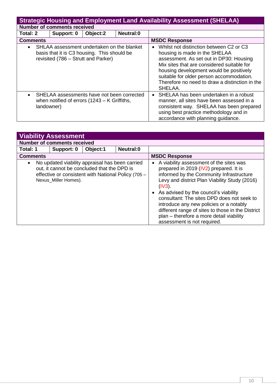<span id="page-10-0"></span>

|                                                                                                                                               | <b>Strategic Housing and Employment Land Availability Assessment (SHELAA)</b>                          |          |                  |                                                                                                                                                                                                                                                                                                                                    |  |  |  |
|-----------------------------------------------------------------------------------------------------------------------------------------------|--------------------------------------------------------------------------------------------------------|----------|------------------|------------------------------------------------------------------------------------------------------------------------------------------------------------------------------------------------------------------------------------------------------------------------------------------------------------------------------------|--|--|--|
|                                                                                                                                               | <b>Number of comments received</b>                                                                     |          |                  |                                                                                                                                                                                                                                                                                                                                    |  |  |  |
| Total: 2                                                                                                                                      | Support: 0                                                                                             | Object:2 | <b>Neutral:0</b> |                                                                                                                                                                                                                                                                                                                                    |  |  |  |
| <b>Comments</b>                                                                                                                               |                                                                                                        |          |                  | <b>MSDC Response</b>                                                                                                                                                                                                                                                                                                               |  |  |  |
| SHLAA assessment undertaken on the blanket<br>$\bullet$<br>basis that it is C3 housing. This should be<br>revisited (786 – Strutt and Parker) |                                                                                                        |          |                  | Whilst not distinction between C2 or C3<br>$\bullet$<br>housing is made in the SHELAA<br>assessment. As set out in DP30: Housing<br>Mix sites that are considered suitable for<br>housing development would be positively<br>suitable for older person accommodation.<br>Therefore no need to draw a distinction in the<br>SHELAA. |  |  |  |
| $\bullet$<br>landowner)                                                                                                                       | SHELAA assessments have not been corrected<br>when notified of errors $(1243 - K \text{ Griffiths})$ , |          |                  | SHELAA has been undertaken in a robust<br>manner, all sites have been assessed in a<br>consistent way. SHELAA has been prepared<br>using best practice methodology and in<br>accordance with planning quidance.                                                                                                                    |  |  |  |

<span id="page-10-1"></span>

| <b>Viability Assessment</b> |                                                                                                                                                                               |          |           |                                                                                                                                                                                                                                                                                                                                                                                                                                                                            |  |  |  |
|-----------------------------|-------------------------------------------------------------------------------------------------------------------------------------------------------------------------------|----------|-----------|----------------------------------------------------------------------------------------------------------------------------------------------------------------------------------------------------------------------------------------------------------------------------------------------------------------------------------------------------------------------------------------------------------------------------------------------------------------------------|--|--|--|
|                             | <b>Number of comments received</b>                                                                                                                                            |          |           |                                                                                                                                                                                                                                                                                                                                                                                                                                                                            |  |  |  |
| Total: 1                    | Support: 0                                                                                                                                                                    | Object:1 | Neutral:0 |                                                                                                                                                                                                                                                                                                                                                                                                                                                                            |  |  |  |
| <b>Comments</b>             |                                                                                                                                                                               |          |           | <b>MSDC Response</b>                                                                                                                                                                                                                                                                                                                                                                                                                                                       |  |  |  |
| $\bullet$                   | No updated viability appraisal has been carried<br>out, it cannot be concluded that the DPD is<br>effective or consistent with National Policy (705 -<br>Nexus_Miller Homes). |          |           | A viability assessment of the sites was<br>$\bullet$<br>prepared in 2019 (IV2) prepared. It is<br>informed by the Community Infrastructure<br>Levy and district Plan Viability Study (2016)<br>$(IV3)$ .<br>As advised by the council's viability<br>consultant: The sites DPD does not seek to<br>introduce any new policies or a notably<br>different range of sites to those in the District<br>plan - therefore a more detail viability<br>assessment is not required. |  |  |  |